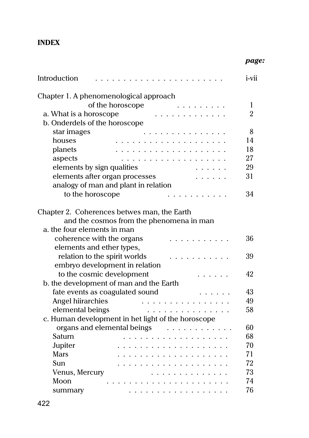## **INDEX**

|                                                    | page:          |
|----------------------------------------------------|----------------|
| Introduction<br>$\cdot$                            | i-vii          |
| Chapter 1. A phenomenological approach             |                |
| of the horoscope                                   | 1              |
| a. What is a horoscope<br>.                        | $\overline{2}$ |
| b. Onderdels of the horoscope                      |                |
| star images<br>.                                   | 8              |
| houses<br>.                                        | 14             |
| planets<br>.                                       | 18             |
| aspects<br>.                                       | 27             |
| elements by sign qualities                         | 29             |
| elements after organ processes                     | 31             |
| analogy of man and plant in relation               |                |
| to the horoscope<br>.                              | 34             |
| Chapter 2. Coherences betwes man, the Earth        |                |
| and the cosmos from the phenomena in man           |                |
| a, the four elements in man                        |                |
| coherence with the organs                          | 36             |
| elements and ether types,                          |                |
| relation to the spirit worlds                      | 39             |
| embryo development in relation                     |                |
| to the cosmic development                          | 42             |
| b. the development of man and the Earth            |                |
| fate events as coagulated sound                    | 43             |
| Angel hiirarchies                                  | 49             |
| elemental beings<br>.                              | 58             |
| c. Human development in het light of the horoscope |                |
| organs and elemental beings<br>.                   | 60             |
| Saturn<br>.                                        | 68             |
| Jupiter<br>.                                       | 70             |
| <b>Mars</b>                                        | 71             |
| Sun                                                | 72             |
| Venus, Mercury<br>.                                | 73             |
| Moon<br>.                                          | 74             |
| summary<br>.                                       | 76             |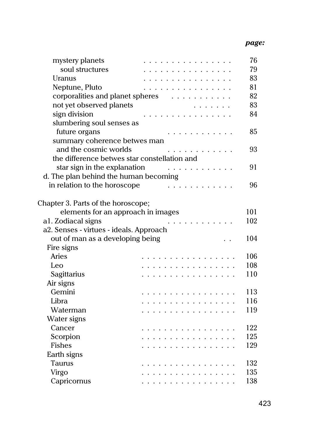| mystery planets                              | .                                | 76  |
|----------------------------------------------|----------------------------------|-----|
| soul structures                              |                                  | 79  |
| Uranus                                       | .                                | 83  |
| Neptune, Pluto                               | .                                | 81  |
|                                              | corporalities and planet spheres | 82  |
| not yet observed planets                     |                                  | 83  |
| sign division                                | .                                | 84  |
| slumbering soul senses as                    |                                  |     |
| future organs                                |                                  | 85  |
| summary coherence betwes man                 |                                  |     |
| and the cosmic worlds                        |                                  | 93  |
| the difference betwes star constellation and |                                  |     |
| star sign in the explanation                 | .                                | 91  |
| d. The plan behind the human becoming        |                                  |     |
| in relation to the horoscope                 | .                                | 96  |
|                                              |                                  |     |
| Chapter 3. Parts of the horoscope;           |                                  |     |
| elements for an approach in images           |                                  | 101 |
| al. Zodiacal signs                           | $\cdot \cdot \cdot$ .            | 102 |
| a2. Senses - virtues - ideals. Approach      |                                  |     |
| out of man as a developing being             |                                  | 104 |
| Fire signs                                   |                                  |     |
| Aries                                        | .                                | 106 |
| Leo                                          | .                                | 108 |
| Sagittarius                                  | .                                | 110 |
| Air signs                                    |                                  |     |
| Gemini                                       | .                                | 113 |
| Libra                                        | .                                | 116 |
| Waterman                                     | .                                | 119 |
| Water signs                                  |                                  |     |
| Cancer                                       | .                                | 122 |
| Scorpion                                     | .                                | 125 |
| <b>Fishes</b>                                | .                                | 129 |
| Earth signs                                  |                                  |     |
| <b>Taurus</b>                                | .                                | 132 |
| Virgo                                        | .                                | 135 |
| Capricornus                                  | .                                | 138 |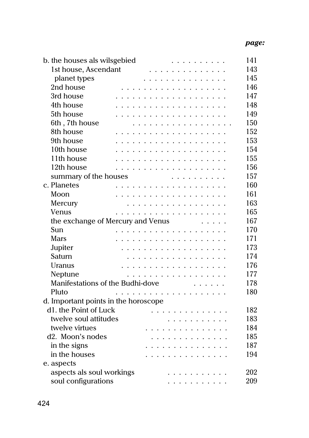| b. the houses als wilsgebied         | .                                                                                                                                             | 141 |
|--------------------------------------|-----------------------------------------------------------------------------------------------------------------------------------------------|-----|
| 1st house, Ascendant                 |                                                                                                                                               | 143 |
| planet types                         | $\begin{array}{cccccccccccccc} \bullet & \bullet & \bullet & \bullet & \bullet & \bullet & \bullet & \bullet & \bullet & \bullet \end{array}$ | 145 |
| 2nd house                            | .                                                                                                                                             | 146 |
| 3rd house                            |                                                                                                                                               | 147 |
| 4th house                            | .                                                                                                                                             | 148 |
| 5th house                            | .                                                                                                                                             | 149 |
| 6th, 7th house                       | .                                                                                                                                             | 150 |
| 8th house                            | .                                                                                                                                             | 152 |
| 9th house                            | .                                                                                                                                             | 153 |
| 10th house                           | .                                                                                                                                             | 154 |
| 11th house                           | .                                                                                                                                             | 155 |
| 12th house                           | .                                                                                                                                             | 156 |
| summary of the houses                | .                                                                                                                                             | 157 |
| c. Planetes                          | .                                                                                                                                             | 160 |
| Moon                                 | .                                                                                                                                             | 161 |
| Mercury                              | .                                                                                                                                             | 163 |
| Venus                                |                                                                                                                                               | 165 |
| the exchange of Mercury and Venus    | .                                                                                                                                             | 167 |
| Sun                                  | .<br>$\mathbf{r}$ , $\mathbf{r}$ , $\mathbf{r}$ , $\mathbf{r}$ , $\mathbf{r}$                                                                 | 170 |
| <b>Mars</b>                          | .                                                                                                                                             | 171 |
| Jupiter                              | .                                                                                                                                             | 173 |
| Saturn                               | .                                                                                                                                             | 174 |
| Uranus                               | .                                                                                                                                             | 176 |
| Neptune                              | .                                                                                                                                             | 177 |
| Manifestations of the Budhi-dove     |                                                                                                                                               | 178 |
| Pluto                                | .                                                                                                                                             | 180 |
| d. Important points in the horoscope |                                                                                                                                               |     |
| d1. the Point of Luck                | .                                                                                                                                             | 182 |
| twelve soul attitudes                | .                                                                                                                                             | 183 |
| twelve virtues                       | .                                                                                                                                             | 184 |
| d2. Moon's nodes                     | .                                                                                                                                             | 185 |
| in the signs                         |                                                                                                                                               | 187 |
| in the houses                        | .                                                                                                                                             | 194 |
| e. aspects                           |                                                                                                                                               |     |
| aspects als soul workings            | .                                                                                                                                             | 202 |
| soul configurations                  | .                                                                                                                                             | 209 |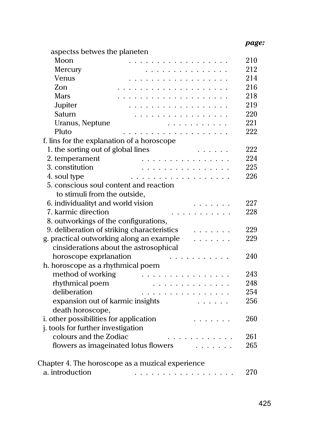## *page:*

| aspectss betwes the planeten                                                                                                                                                                                                  |     |
|-------------------------------------------------------------------------------------------------------------------------------------------------------------------------------------------------------------------------------|-----|
| Moon<br>.                                                                                                                                                                                                                     | 210 |
| Mercury<br>.                                                                                                                                                                                                                  | 212 |
| Venus<br>.                                                                                                                                                                                                                    | 214 |
| Zon                                                                                                                                                                                                                           | 216 |
| Mars                                                                                                                                                                                                                          | 218 |
| Jupiter<br>.                                                                                                                                                                                                                  | 219 |
| Saturn<br>.                                                                                                                                                                                                                   | 220 |
| Uranus, Neptune<br>.                                                                                                                                                                                                          | 221 |
| Pluto<br>.                                                                                                                                                                                                                    | 222 |
| f. lins for the explanation of a horoscope                                                                                                                                                                                    |     |
| 1. the sorting out of global lines                                                                                                                                                                                            | 222 |
| 2. temperament<br>.                                                                                                                                                                                                           | 224 |
| 3. constitution<br>.                                                                                                                                                                                                          | 225 |
| 4. soul type<br>.                                                                                                                                                                                                             | 226 |
| 5. conscious soul content and reaction                                                                                                                                                                                        |     |
| to stimuli from the outside,                                                                                                                                                                                                  |     |
| 6. individualityt and world vision                                                                                                                                                                                            | 227 |
| 7. karmic direction<br>.                                                                                                                                                                                                      | 228 |
| 8. outworkings of the configurations,                                                                                                                                                                                         |     |
| 9. deliberation of striking characteristics                                                                                                                                                                                   | 229 |
| g. practical outworking along an example<br>.                                                                                                                                                                                 | 229 |
| cinsiderations about the astrosophical                                                                                                                                                                                        |     |
| horoscope exprlanation<br>.                                                                                                                                                                                                   | 240 |
| h. horoscope as a rhythmical poem                                                                                                                                                                                             |     |
| method of working<br>.                                                                                                                                                                                                        | 243 |
| rhythmical poem<br>.                                                                                                                                                                                                          | 248 |
| deliberation<br>.                                                                                                                                                                                                             | 254 |
| expansion out of karmic insights                                                                                                                                                                                              | 256 |
| death horoscope,                                                                                                                                                                                                              |     |
| i. other possibilities for application<br>.                                                                                                                                                                                   | 260 |
| j. tools for further investigation                                                                                                                                                                                            |     |
| colours and the Zodiac                                                                                                                                                                                                        | 261 |
| flowers as imageinated lotus flowers extended to the set of the set of the set of the set of the set of the set of the set of the set of the set of the set of the set of the set of the set of the set of the set of the set | 265 |
| Chapter 4. The horoscope as a muzical experience                                                                                                                                                                              |     |
| a. introduction<br>.                                                                                                                                                                                                          | 270 |
|                                                                                                                                                                                                                               |     |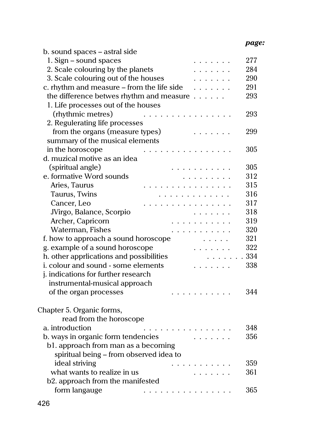## *page:*

| b. sound spaces - astral side                                              |      |  |
|----------------------------------------------------------------------------|------|--|
| 1. Sign - sound spaces                                                     | 277  |  |
| 2. Scale colouring by the planets<br>.                                     |      |  |
| 3. Scale colouring out of the houses                                       |      |  |
| c. rhythm and measure - from the life side<br>.                            | 291  |  |
| the difference betwes rhythm and measure                                   | 293  |  |
| 1. Life processes out of the houses                                        |      |  |
| (rhythmic metres)<br>$\mathbf{r}$                                          | 293  |  |
| 2. Regulerating life processes                                             |      |  |
| from the organs (measure types)                                            | 299  |  |
| summary of the musical elements                                            |      |  |
| in the horoscope                                                           | 305  |  |
| d. muzical motive as an idea                                               |      |  |
| (spiritual angle)                                                          | 305  |  |
| e. formative Word sounds                                                   | 312  |  |
| Aries, Taurus                                                              | 315  |  |
| Taurus, Twins<br>.                                                         | 316  |  |
| Cancer, Leo<br>.<br>.                                                      | 317  |  |
| JVirgo, Balance, Scorpio<br>.                                              | 318  |  |
| Archer, Capricorn<br>$\mathcal{A}$ , and $\mathcal{A}$ , and $\mathcal{A}$ | 319  |  |
| Waterman, Fishes<br>$\mathbf{r}$ , and $\mathbf{r}$ , and $\mathbf{r}$     | 320  |  |
| f. how to approach a sound horoscope                                       | 321  |  |
| g. example of a sound horoscope                                            | 322  |  |
| h. other apprlications and possibilities                                   | .334 |  |
| i. colour and sound - some elements                                        | 338  |  |
| j. indications for further research                                        |      |  |
| instrumental-musical approach                                              |      |  |
| of the organ processes                                                     | 344  |  |
| Chapter 5. Organic forms,                                                  |      |  |
| read from the horoscope                                                    |      |  |
| a. introduction<br>.                                                       | 348  |  |
| b. ways in organic form tendencies                                         | 356  |  |
| b1. approach from man as a becoming                                        |      |  |
| spiritual being - from observed idea to                                    |      |  |
| ideal striving                                                             | 359  |  |
| what wants to realize in us                                                | 361  |  |
| b2. approach from the manifested                                           |      |  |
| form langauge                                                              | 365  |  |
| $\mathcal{A}$ . The set of the set of the set of the $\mathcal{A}$         |      |  |